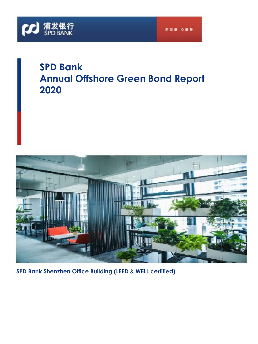

# **SPD Bank Annual Offshore Green Bond Report 2020**



**SPD Bank Shenzhen Office Building (LEED & WELL certified)**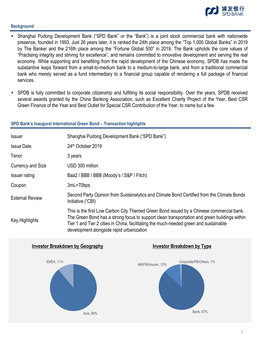

#### **Background**

- Shanghai Pudong Development Bank ("SPD Bank" or the "Bank") is a joint stock commercial bank with nationwide presence, founded in 1993. Just 26 years later, it is ranked the 24th place among the "Top 1,000 Global Banks" in 2019 by The Banker and the 216th place among the "Fortune Global 500" in 2019. The Bank upholds the core values of "Practising integrity and striving for excellence", and remains committed to innovative development and serving the real economy. While supporting and benefiting from the rapid development of the Chinese economy, SPDB has made the substantive leaps forward from a small-to-medium bank to a medium-to-large bank, and from a traditional commercial bank who merely served as a fund intermediary to a financial group capable of rendering a full package of financial services.
- SPDB is fully committed to corporate citizenship and fulfilling its social responsibility. Over the years, SPDB received several awards granted by the China Banking Association, such as Excellent Charity Project of the Year, Best CSR Green Finance of the Year and Best Outlet for Special CSR Contribution of the Year, to name but a few.

#### **SPD Bank's Inaugural International Green Bond – Transaction highlights**

| <b>Issuer</b>          | Shanghai Pudong Development Bank ("SPD Bank")                                                                                                                                                                                                                                                                                 |  |  |
|------------------------|-------------------------------------------------------------------------------------------------------------------------------------------------------------------------------------------------------------------------------------------------------------------------------------------------------------------------------|--|--|
| <b>Issue Date</b>      | 24th October 2019                                                                                                                                                                                                                                                                                                             |  |  |
| Tenor                  | 3 years                                                                                                                                                                                                                                                                                                                       |  |  |
| Currency and Size      | USD 300 million                                                                                                                                                                                                                                                                                                               |  |  |
| <b>Issuer rating</b>   | Baa2 / BBB / BBB (Moody's / S&P / Fitch)                                                                                                                                                                                                                                                                                      |  |  |
| Coupon                 | 3mL+70bps                                                                                                                                                                                                                                                                                                                     |  |  |
| <b>External Review</b> | Second Party Opinion from Sustainalytics and Climate Bond Certified from the Climate Bonds<br>Initiative ("CBI)                                                                                                                                                                                                               |  |  |
| Key Highlights         | This is the first Low Carbon City Themed Green Bond issued by a Chinese commercial bank.<br>The Green Bond has a strong focus to support clean transportation and green buildings within<br>Tier 1 and Tier 2 cities in China, facilitating the much-needed green and sustainable<br>development alongside rapid urbanization |  |  |

#### **Investor Breakdown by Geography Investor Breakdown by Type**





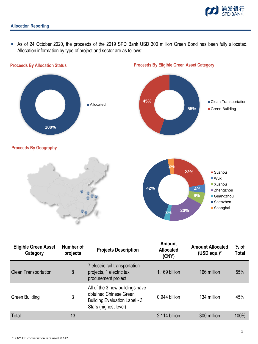

 As of 24 October 2020, the proceeds of the 2019 SPD Bank USD 300 million Green Bond has been fully allocated. Allocation information by type of project and sector are as follows:



| <b>Eligible Green Asset</b><br>Category | Number of<br>projects | <b>Projects Description</b>                                                                                                | Amount<br><b>Allocated</b><br>(CNY) | <b>Amount Allocated</b><br>(USD equ.) $*$ | $%$ of<br><b>Total</b> |
|-----------------------------------------|-----------------------|----------------------------------------------------------------------------------------------------------------------------|-------------------------------------|-------------------------------------------|------------------------|
| <b>Clean Transportation</b>             | 8                     | 7 electric rail transportation<br>projects, 1 electric taxi<br>procurement project                                         | 1.169 billion                       | 166 million                               | 55%                    |
| Green Building                          | 3                     | All of the 3 new buildings have<br>obtained Chinese Green<br><b>Building Evaluation Label - 3</b><br>Stars (highest level) | 0.944 billion                       | 134 million                               | 45%                    |
| Total                                   | 13                    |                                                                                                                            | 2.114 billion                       | 300 million                               | 100%                   |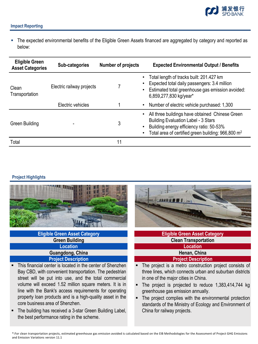

## **Impact Reporting**

 The expected environmental benefits of the Eligible Green Assets financed are aggregated by category and reported as below:

| <b>Eligible Green</b><br><b>Asset Categories</b> | Sub-categories            | <b>Number of projects</b> | <b>Expected Environmental Output / Benefits</b>                                                                                                                                                             |
|--------------------------------------------------|---------------------------|---------------------------|-------------------------------------------------------------------------------------------------------------------------------------------------------------------------------------------------------------|
| Clean<br>Transportation                          | Electric railway projects |                           | Total length of tracks built: 201.427 km<br>Expected total daily passengers: 3.4 million<br>Estimated total greenhouse gas emission avoided:<br>6,859,277,830 kg/year*                                      |
|                                                  | Electric vehicles         |                           | Number of electric vehicle purchased: 1,300                                                                                                                                                                 |
| <b>Green Building</b>                            |                           | 3                         | All three buildings have obtained Chinese Green<br><b>Building Evaluation Label - 3 Stars</b><br>Building energy efficiency ratio: 50-53%<br>Total area of certified green building: 966,800 m <sup>2</sup> |
| Total                                            |                           | 11                        |                                                                                                                                                                                                             |

## **Project Highlights**



## **Eligible Green Asset Category Green Building Location Guangdong, China Project Description**

- 4 line with the Bank's access requirements for operating This financial center is located in the center of Shenzhen Bay CBD, with convenient transportation. The pedestrian street will be put into use, and the total commercial volume will exceed 1.52 million square meters. It is in property loan products and is a high-quality asset in the core business area of Shenzhen.
- The building has received a 3-star Green Building Label, the best performance rating in the scheme.



# **Eligible Green Asset Category Clean Transportation Location Henan, China**

## **Project Description**

- The project is a metro construction project consists of three lines, which connects urban and suburban districts in one of the major cities in China.
- The project is projected to reduce 1,383,414,744 kg greenhouse gas emission annually.
- The project complies with the environmental protection standards of the Ministry of Ecology and Environment of China for railway projects.

\*:For clean transportation projects, estimated greenhouse gas emission avoided is calculated based on the EIB Methodologies for the Assessment of Project GHG Emissions and Emission Variations version 11.1